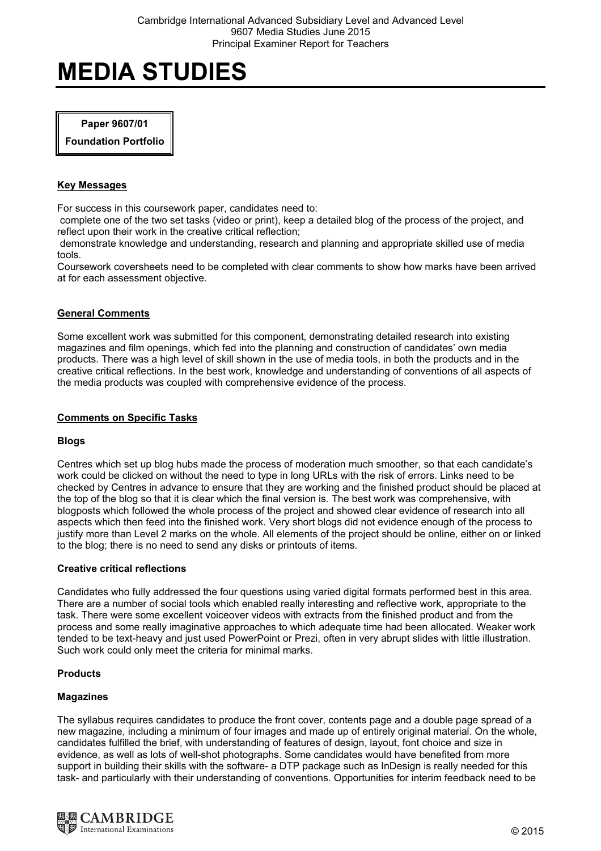#### Paper 9607/01

Foundation Portfolio

#### Key Messages

For success in this coursework paper, candidates need to:

 complete one of the two set tasks (video or print), keep a detailed blog of the process of the project, and reflect upon their work in the creative critical reflection;

 demonstrate knowledge and understanding, research and planning and appropriate skilled use of media tools.

Coursework coversheets need to be completed with clear comments to show how marks have been arrived at for each assessment objective.

# General Comments

Some excellent work was submitted for this component, demonstrating detailed research into existing magazines and film openings, which fed into the planning and construction of candidates' own media products. There was a high level of skill shown in the use of media tools, in both the products and in the creative critical reflections. In the best work, knowledge and understanding of conventions of all aspects of the media products was coupled with comprehensive evidence of the process.

#### Comments on Specific Tasks

# Blogs

Centres which set up blog hubs made the process of moderation much smoother, so that each candidate's work could be clicked on without the need to type in long URLs with the risk of errors. Links need to be checked by Centres in advance to ensure that they are working and the finished product should be placed at the top of the blog so that it is clear which the final version is. The best work was comprehensive, with blogposts which followed the whole process of the project and showed clear evidence of research into all aspects which then feed into the finished work. Very short blogs did not evidence enough of the process to justify more than Level 2 marks on the whole. All elements of the project should be online, either on or linked to the blog; there is no need to send any disks or printouts of items.

#### Creative critical reflections

Candidates who fully addressed the four questions using varied digital formats performed best in this area. There are a number of social tools which enabled really interesting and reflective work, appropriate to the task. There were some excellent voiceover videos with extracts from the finished product and from the process and some really imaginative approaches to which adequate time had been allocated. Weaker work tended to be text-heavy and just used PowerPoint or Prezi, often in very abrupt slides with little illustration. Such work could only meet the criteria for minimal marks.

# **Products**

#### Magazines

The syllabus requires candidates to produce the front cover, contents page and a double page spread of a new magazine, including a minimum of four images and made up of entirely original material. On the whole, candidates fulfilled the brief, with understanding of features of design, layout, font choice and size in evidence, as well as lots of well-shot photographs. Some candidates would have benefited from more support in building their skills with the software- a DTP package such as InDesign is really needed for this task- and particularly with their understanding of conventions. Opportunities for interim feedback need to be

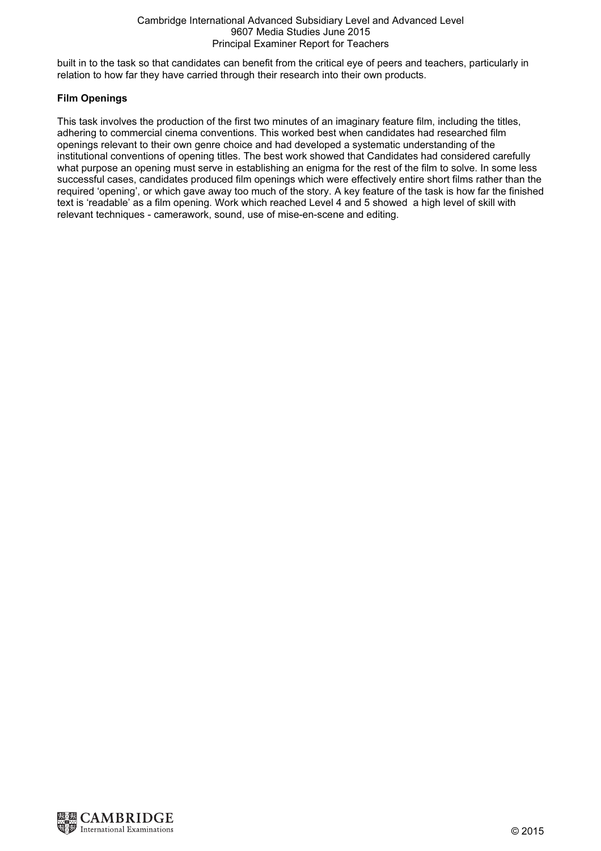#### Cambridge International Advanced Subsidiary Level and Advanced Level 9607 Media Studies June 2015 Principal Examiner Report for Teachers

built in to the task so that candidates can benefit from the critical eye of peers and teachers, particularly in relation to how far they have carried through their research into their own products.

# Film Openings

This task involves the production of the first two minutes of an imaginary feature film, including the titles, adhering to commercial cinema conventions. This worked best when candidates had researched film openings relevant to their own genre choice and had developed a systematic understanding of the institutional conventions of opening titles. The best work showed that Candidates had considered carefully what purpose an opening must serve in establishing an enigma for the rest of the film to solve. In some less successful cases, candidates produced film openings which were effectively entire short films rather than the required 'opening', or which gave away too much of the story. A key feature of the task is how far the finished text is 'readable' as a film opening. Work which reached Level 4 and 5 showed a high level of skill with relevant techniques - camerawork, sound, use of mise-en-scene and editing.

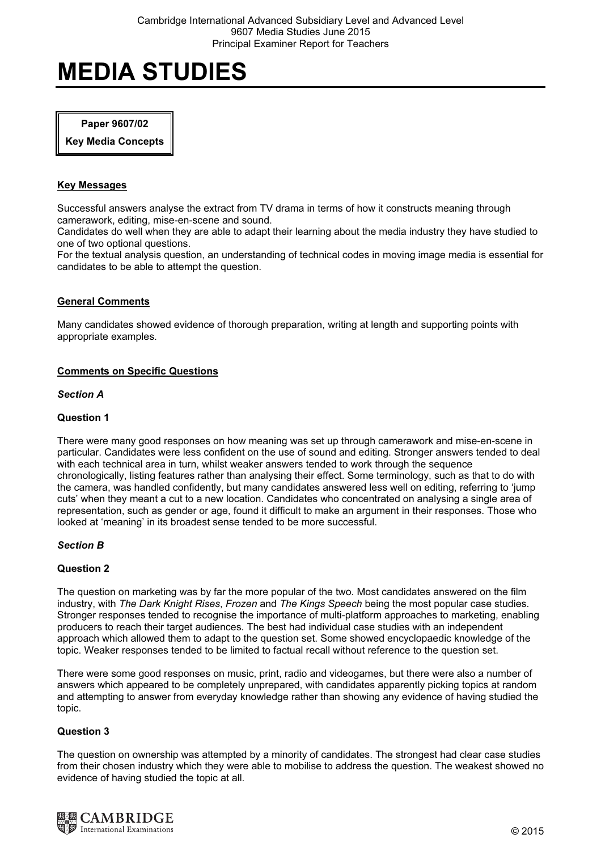#### Paper 9607/02

Key Media Concepts

# Key Messages

Successful answers analyse the extract from TV drama in terms of how it constructs meaning through camerawork, editing, mise-en-scene and sound.

Candidates do well when they are able to adapt their learning about the media industry they have studied to one of two optional questions.

For the textual analysis question, an understanding of technical codes in moving image media is essential for candidates to be able to attempt the question.

# General Comments

Many candidates showed evidence of thorough preparation, writing at length and supporting points with appropriate examples.

# Comments on Specific Questions

#### Section A

# Question 1

There were many good responses on how meaning was set up through camerawork and mise-en-scene in particular. Candidates were less confident on the use of sound and editing. Stronger answers tended to deal with each technical area in turn, whilst weaker answers tended to work through the sequence chronologically, listing features rather than analysing their effect. Some terminology, such as that to do with the camera, was handled confidently, but many candidates answered less well on editing, referring to 'jump cuts' when they meant a cut to a new location. Candidates who concentrated on analysing a single area of representation, such as gender or age, found it difficult to make an argument in their responses. Those who looked at 'meaning' in its broadest sense tended to be more successful.

# Section B

# Question 2

The question on marketing was by far the more popular of the two. Most candidates answered on the film industry, with The Dark Knight Rises, Frozen and The Kings Speech being the most popular case studies. Stronger responses tended to recognise the importance of multi-platform approaches to marketing, enabling producers to reach their target audiences. The best had individual case studies with an independent approach which allowed them to adapt to the question set. Some showed encyclopaedic knowledge of the topic. Weaker responses tended to be limited to factual recall without reference to the question set.

There were some good responses on music, print, radio and videogames, but there were also a number of answers which appeared to be completely unprepared, with candidates apparently picking topics at random and attempting to answer from everyday knowledge rather than showing any evidence of having studied the topic.

# Question 3

The question on ownership was attempted by a minority of candidates. The strongest had clear case studies from their chosen industry which they were able to mobilise to address the question. The weakest showed no evidence of having studied the topic at all.

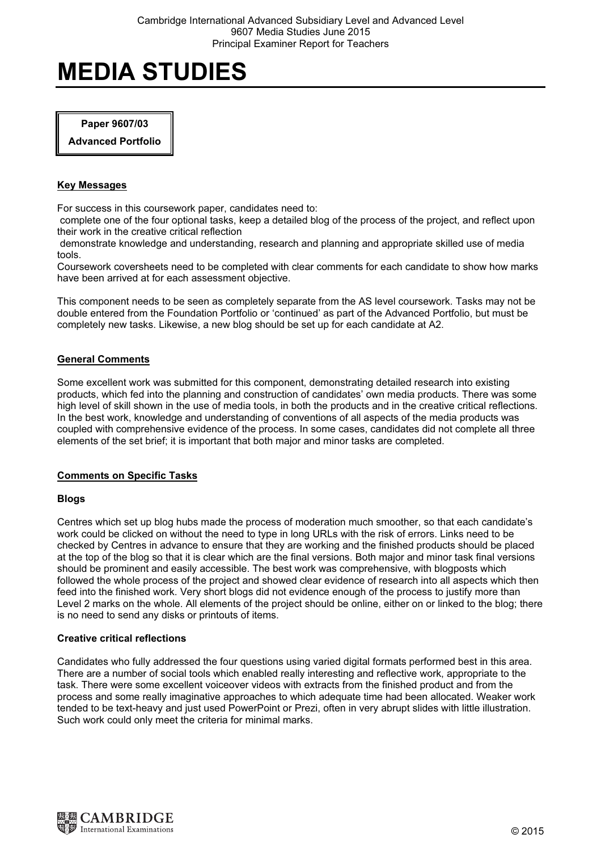# Paper 9607/03

Advanced Portfolio

# Key Messages

For success in this coursework paper, candidates need to:

 complete one of the four optional tasks, keep a detailed blog of the process of the project, and reflect upon their work in the creative critical reflection

 demonstrate knowledge and understanding, research and planning and appropriate skilled use of media tools.

Coursework coversheets need to be completed with clear comments for each candidate to show how marks have been arrived at for each assessment objective.

This component needs to be seen as completely separate from the AS level coursework. Tasks may not be double entered from the Foundation Portfolio or 'continued' as part of the Advanced Portfolio, but must be completely new tasks. Likewise, a new blog should be set up for each candidate at A2.

# General Comments

Some excellent work was submitted for this component, demonstrating detailed research into existing products, which fed into the planning and construction of candidates' own media products. There was some high level of skill shown in the use of media tools, in both the products and in the creative critical reflections. In the best work, knowledge and understanding of conventions of all aspects of the media products was coupled with comprehensive evidence of the process. In some cases, candidates did not complete all three elements of the set brief; it is important that both major and minor tasks are completed.

# Comments on Specific Tasks

#### Blogs

Centres which set up blog hubs made the process of moderation much smoother, so that each candidate's work could be clicked on without the need to type in long URLs with the risk of errors. Links need to be checked by Centres in advance to ensure that they are working and the finished products should be placed at the top of the blog so that it is clear which are the final versions. Both major and minor task final versions should be prominent and easily accessible. The best work was comprehensive, with blogposts which followed the whole process of the project and showed clear evidence of research into all aspects which then feed into the finished work. Very short blogs did not evidence enough of the process to justify more than Level 2 marks on the whole. All elements of the project should be online, either on or linked to the blog; there is no need to send any disks or printouts of items.

#### Creative critical reflections

Candidates who fully addressed the four questions using varied digital formats performed best in this area. There are a number of social tools which enabled really interesting and reflective work, appropriate to the task. There were some excellent voiceover videos with extracts from the finished product and from the process and some really imaginative approaches to which adequate time had been allocated. Weaker work tended to be text-heavy and just used PowerPoint or Prezi, often in very abrupt slides with little illustration. Such work could only meet the criteria for minimal marks.

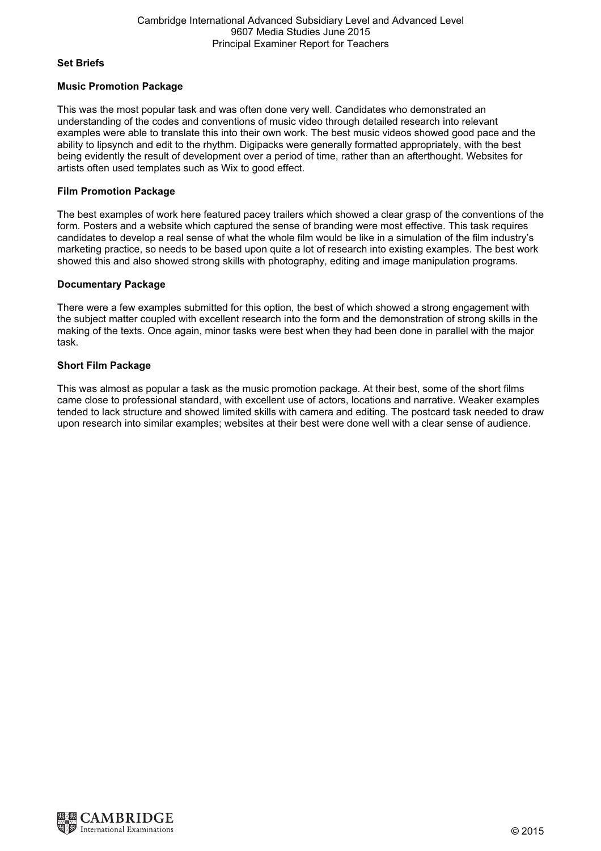#### Set Briefs

# Music Promotion Package

This was the most popular task and was often done very well. Candidates who demonstrated an understanding of the codes and conventions of music video through detailed research into relevant examples were able to translate this into their own work. The best music videos showed good pace and the ability to lipsynch and edit to the rhythm. Digipacks were generally formatted appropriately, with the best being evidently the result of development over a period of time, rather than an afterthought. Websites for artists often used templates such as Wix to good effect.

# Film Promotion Package

The best examples of work here featured pacey trailers which showed a clear grasp of the conventions of the form. Posters and a website which captured the sense of branding were most effective. This task requires candidates to develop a real sense of what the whole film would be like in a simulation of the film industry's marketing practice, so needs to be based upon quite a lot of research into existing examples. The best work showed this and also showed strong skills with photography, editing and image manipulation programs.

# Documentary Package

There were a few examples submitted for this option, the best of which showed a strong engagement with the subject matter coupled with excellent research into the form and the demonstration of strong skills in the making of the texts. Once again, minor tasks were best when they had been done in parallel with the major task.

# Short Film Package

This was almost as popular a task as the music promotion package. At their best, some of the short films came close to professional standard, with excellent use of actors, locations and narrative. Weaker examples tended to lack structure and showed limited skills with camera and editing. The postcard task needed to draw upon research into similar examples; websites at their best were done well with a clear sense of audience.

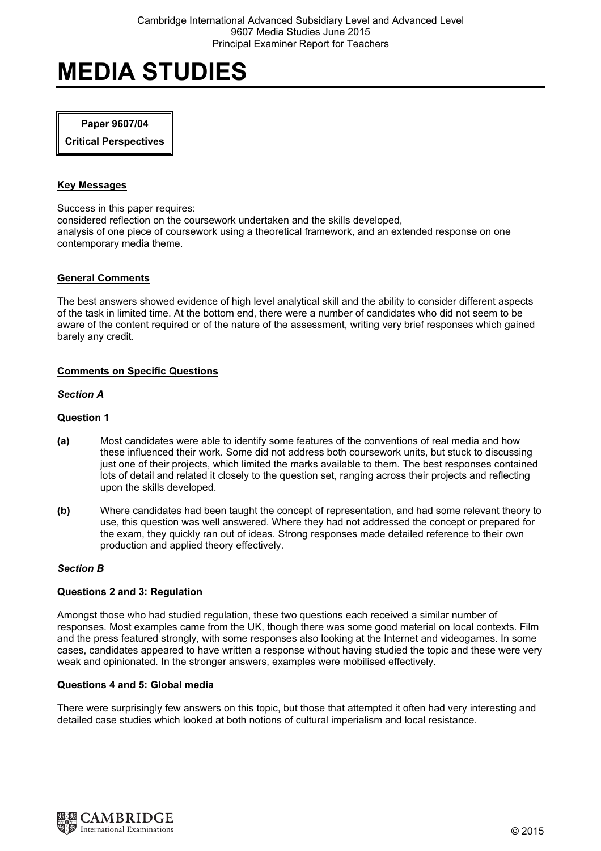#### Paper 9607/04

Critical Perspectives

#### Key Messages

Success in this paper requires: considered reflection on the coursework undertaken and the skills developed, analysis of one piece of coursework using a theoretical framework, and an extended response on one contemporary media theme.

#### General Comments

The best answers showed evidence of high level analytical skill and the ability to consider different aspects of the task in limited time. At the bottom end, there were a number of candidates who did not seem to be aware of the content required or of the nature of the assessment, writing very brief responses which gained barely any credit.

# Comments on Specific Questions

#### Section A

# Question 1

- (a) Most candidates were able to identify some features of the conventions of real media and how these influenced their work. Some did not address both coursework units, but stuck to discussing just one of their projects, which limited the marks available to them. The best responses contained lots of detail and related it closely to the question set, ranging across their projects and reflecting upon the skills developed.
- (b) Where candidates had been taught the concept of representation, and had some relevant theory to use, this question was well answered. Where they had not addressed the concept or prepared for the exam, they quickly ran out of ideas. Strong responses made detailed reference to their own production and applied theory effectively.

#### Section B

#### Questions 2 and 3: Regulation

Amongst those who had studied regulation, these two questions each received a similar number of responses. Most examples came from the UK, though there was some good material on local contexts. Film and the press featured strongly, with some responses also looking at the Internet and videogames. In some cases, candidates appeared to have written a response without having studied the topic and these were very weak and opinionated. In the stronger answers, examples were mobilised effectively.

# Questions 4 and 5: Global media

There were surprisingly few answers on this topic, but those that attempted it often had very interesting and detailed case studies which looked at both notions of cultural imperialism and local resistance.